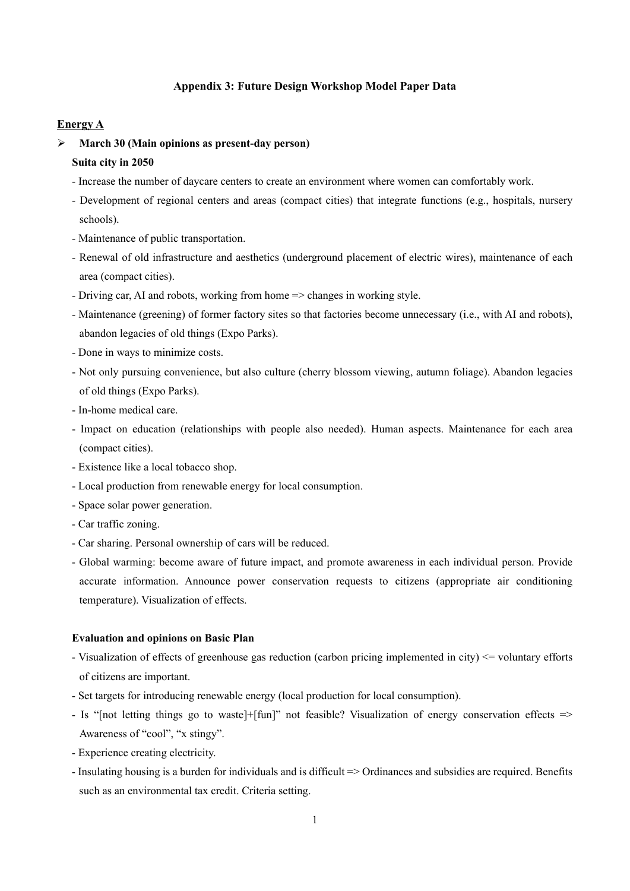### **Appendix 3: Future Design Workshop Model Paper Data**

### **Energy A**

- **March 30 (Main opinions as present-day person) Suita city in 2050**
	- Increase the number of daycare centers to create an environment where women can comfortably work.
	- Development of regional centers and areas (compact cities) that integrate functions (e.g., hospitals, nursery schools).
	- Maintenance of public transportation.
	- Renewal of old infrastructure and aesthetics (underground placement of electric wires), maintenance of each area (compact cities).
	- Driving car, AI and robots, working from home => changes in working style.
	- Maintenance (greening) of former factory sites so that factories become unnecessary (i.e., with AI and robots), abandon legacies of old things (Expo Parks).
	- Done in ways to minimize costs.
	- Not only pursuing convenience, but also culture (cherry blossom viewing, autumn foliage). Abandon legacies of old things (Expo Parks).
	- In-home medical care.
	- Impact on education (relationships with people also needed). Human aspects. Maintenance for each area (compact cities).
	- Existence like a local tobacco shop.
	- Local production from renewable energy for local consumption.
	- Space solar power generation.
	- Car traffic zoning.
	- Car sharing. Personal ownership of cars will be reduced.
	- Global warming: become aware of future impact, and promote awareness in each individual person. Provide accurate information. Announce power conservation requests to citizens (appropriate air conditioning temperature). Visualization of effects.

#### **Evaluation and opinions on Basic Plan**

- Visualization of effects of greenhouse gas reduction (carbon pricing implemented in city) <= voluntary efforts of citizens are important.
- Set targets for introducing renewable energy (local production for local consumption).
- Is "[not letting things go to waste]+[fun]" not feasible? Visualization of energy conservation effects => Awareness of "cool", "x stingy".
- Experience creating electricity.
- Insulating housing is a burden for individuals and is difficult => Ordinances and subsidies are required. Benefits such as an environmental tax credit. Criteria setting.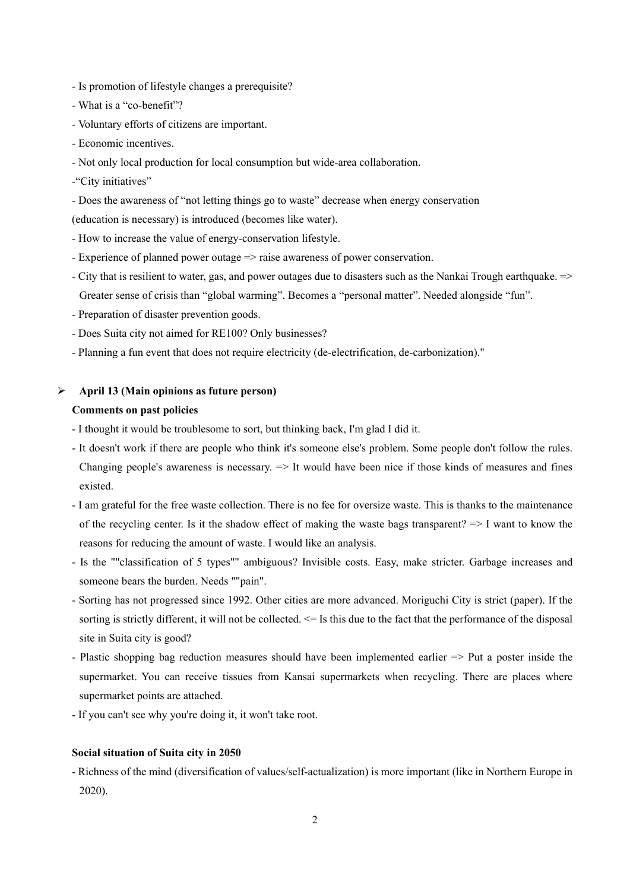- Is promotion of lifestyle changes a prerequisite?
- What is a "co-benefit"?
- Voluntary efforts of citizens are important.
- Economic incentives.
- Not only local production for local consumption but wide-area collaboration.
- -"City initiatives"
- Does the awareness of "not letting things go to waste" decrease when energy conservation
- (education is necessary) is introduced (becomes like water).
- How to increase the value of energy-conservation lifestyle.
- Experience of planned power outage => raise awareness of power conservation.
- City that is resilient to water, gas, and power outages due to disasters such as the Nankai Trough earthquake. => Greater sense of crisis than "global warming". Becomes a "personal matter". Needed alongside "fun".
- Preparation of disaster prevention goods.
- Does Suita city not aimed for RE100? Only businesses?
- Planning a fun event that does not require electricity (de-electrification, de-carbonization)."

#### **April 13 (Main opinions as future person)**

### **Comments on past policies**

- I thought it would be troublesome to sort, but thinking back, I'm glad I did it.
- It doesn't work if there are people who think it's someone else's problem. Some people don't follow the rules. Changing people's awareness is necessary.  $\Rightarrow$  It would have been nice if those kinds of measures and fines existed.
- I am grateful for the free waste collection. There is no fee for oversize waste. This is thanks to the maintenance of the recycling center. Is it the shadow effect of making the waste bags transparent?  $\Rightarrow$  I want to know the reasons for reducing the amount of waste. I would like an analysis.
- Is the ""classification of 5 types"" ambiguous? Invisible costs. Easy, make stricter. Garbage increases and someone bears the burden. Needs ""pain".
- Sorting has not progressed since 1992. Other cities are more advanced. Moriguchi City is strict (paper). If the sorting is strictly different, it will not be collected.  $\leq$  Is this due to the fact that the performance of the disposal site in Suita city is good?
- Plastic shopping bag reduction measures should have been implemented earlier => Put a poster inside the supermarket. You can receive tissues from Kansai supermarkets when recycling. There are places where supermarket points are attached.
- If you can't see why you're doing it, it won't take root.

### **Social situation of Suita city in 2050**

- Richness of the mind (diversification of values/self-actualization) is more important (like in Northern Europe in 2020).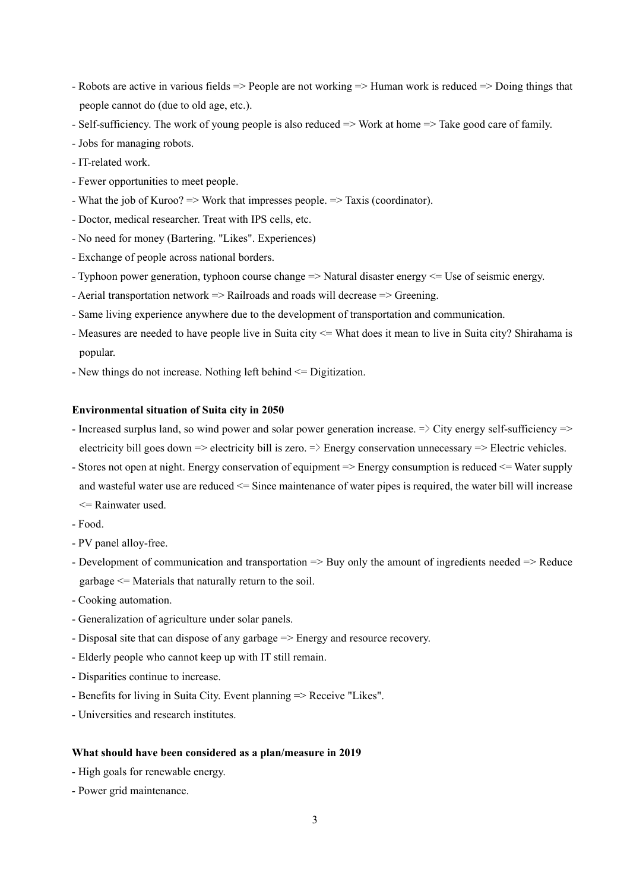- Robots are active in various fields => People are not working => Human work is reduced => Doing things that people cannot do (due to old age, etc.).
- Self-sufficiency. The work of young people is also reduced => Work at home => Take good care of family.
- Jobs for managing robots.
- IT-related work.
- Fewer opportunities to meet people.
- What the job of Kuroo? => Work that impresses people. => Taxis (coordinator).
- Doctor, medical researcher. Treat with IPS cells, etc.
- No need for money (Bartering. "Likes". Experiences)
- Exchange of people across national borders.
- Typhoon power generation, typhoon course change => Natural disaster energy <= Use of seismic energy.
- Aerial transportation network => Railroads and roads will decrease => Greening.
- Same living experience anywhere due to the development of transportation and communication.
- Measures are needed to have people live in Suita city <= What does it mean to live in Suita city? Shirahama is popular.
- New things do not increase. Nothing left behind <= Digitization.

- Increased surplus land, so wind power and solar power generation increase.  $\Rightarrow$  City energy self-sufficiency  $\Rightarrow$ electricity bill goes down  $\Rightarrow$  electricity bill is zero.  $\Rightarrow$  Energy conservation unnecessary  $\Rightarrow$  Electric vehicles.
- Stores not open at night. Energy conservation of equipment => Energy consumption is reduced <= Water supply and wasteful water use are reduced <= Since maintenance of water pipes is required, the water bill will increase  $\leq$  Rainwater used.
- Food.
- PV panel alloy-free.
- Development of communication and transportation => Buy only the amount of ingredients needed => Reduce garbage <= Materials that naturally return to the soil.
- Cooking automation.
- Generalization of agriculture under solar panels.
- Disposal site that can dispose of any garbage => Energy and resource recovery.
- Elderly people who cannot keep up with IT still remain.
- Disparities continue to increase.
- Benefits for living in Suita City. Event planning => Receive "Likes".
- Universities and research institutes.

- High goals for renewable energy.
- Power grid maintenance.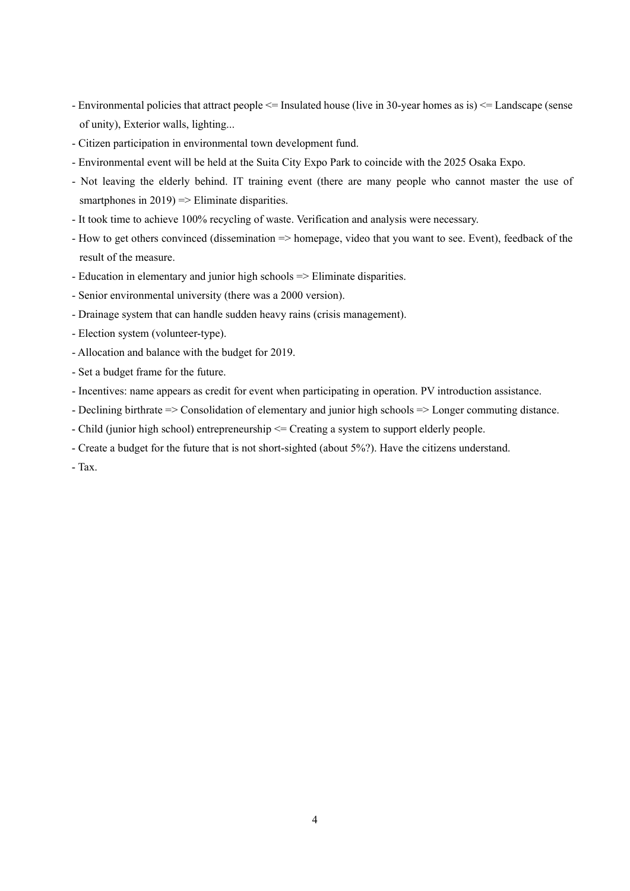- Environmental policies that attract people <= Insulated house (live in 30-year homes as is) <= Landscape (sense of unity), Exterior walls, lighting...
- Citizen participation in environmental town development fund.
- Environmental event will be held at the Suita City Expo Park to coincide with the 2025 Osaka Expo.
- Not leaving the elderly behind. IT training event (there are many people who cannot master the use of smartphones in  $2019$  => Eliminate disparities.
- It took time to achieve 100% recycling of waste. Verification and analysis were necessary.
- How to get others convinced (dissemination => homepage, video that you want to see. Event), feedback of the result of the measure.
- Education in elementary and junior high schools => Eliminate disparities.
- Senior environmental university (there was a 2000 version).
- Drainage system that can handle sudden heavy rains (crisis management).
- Election system (volunteer-type).
- Allocation and balance with the budget for 2019.
- Set a budget frame for the future.
- Incentives: name appears as credit for event when participating in operation. PV introduction assistance.
- Declining birthrate => Consolidation of elementary and junior high schools => Longer commuting distance.
- Child (junior high school) entrepreneurship <= Creating a system to support elderly people.
- Create a budget for the future that is not short-sighted (about 5%?). Have the citizens understand.

- Tax.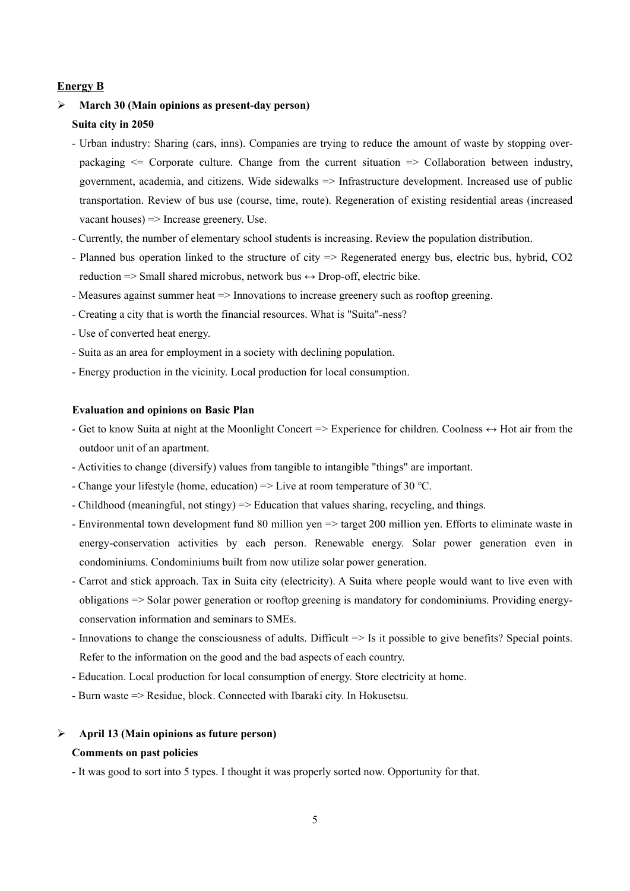### **Energy B**

# **March 30 (Main opinions as present-day person) Suita city in 2050**

- Urban industry: Sharing (cars, inns). Companies are trying to reduce the amount of waste by stopping overpackaging  $\leq$  Corporate culture. Change from the current situation  $\Rightarrow$  Collaboration between industry, government, academia, and citizens. Wide sidewalks => Infrastructure development. Increased use of public transportation. Review of bus use (course, time, route). Regeneration of existing residential areas (increased vacant houses) => Increase greenery. Use.
- Currently, the number of elementary school students is increasing. Review the population distribution.
- Planned bus operation linked to the structure of city => Regenerated energy bus, electric bus, hybrid, CO2 reduction  $\Rightarrow$  Small shared microbus, network bus  $\leftrightarrow$  Drop-off, electric bike.
- Measures against summer heat => Innovations to increase greenery such as rooftop greening.
- Creating a city that is worth the financial resources. What is "Suita"-ness?
- Use of converted heat energy.
- Suita as an area for employment in a society with declining population.
- Energy production in the vicinity. Local production for local consumption.

### **Evaluation and opinions on Basic Plan**

- Get to know Suita at night at the Moonlight Concert => Experience for children. Coolness ↔ Hot air from the outdoor unit of an apartment.
- Activities to change (diversify) values from tangible to intangible "things" are important.
- Change your lifestyle (home, education) => Live at room temperature of 30 ℃.
- Childhood (meaningful, not stingy) => Education that values sharing, recycling, and things.
- Environmental town development fund 80 million yen => target 200 million yen. Efforts to eliminate waste in energy-conservation activities by each person. Renewable energy. Solar power generation even in condominiums. Condominiums built from now utilize solar power generation.
- Carrot and stick approach. Tax in Suita city (electricity). A Suita where people would want to live even with obligations => Solar power generation or rooftop greening is mandatory for condominiums. Providing energyconservation information and seminars to SMEs.
- Innovations to change the consciousness of adults. Difficult => Is it possible to give benefits? Special points. Refer to the information on the good and the bad aspects of each country.
- Education. Local production for local consumption of energy. Store electricity at home.
- Burn waste => Residue, block. Connected with Ibaraki city. In Hokusetsu.

### **April 13 (Main opinions as future person)**

### **Comments on past policies**

- It was good to sort into 5 types. I thought it was properly sorted now. Opportunity for that.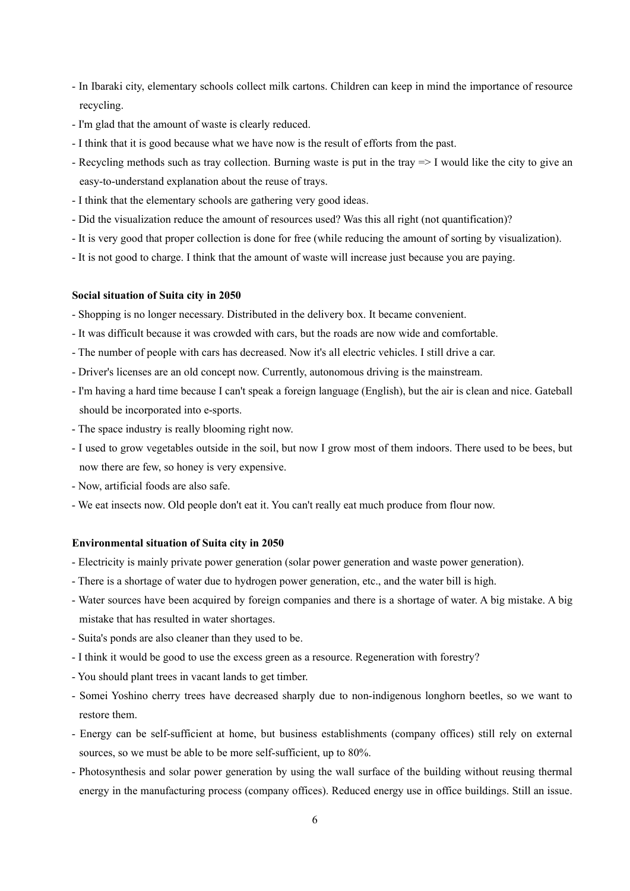- In Ibaraki city, elementary schools collect milk cartons. Children can keep in mind the importance of resource recycling.
- I'm glad that the amount of waste is clearly reduced.
- I think that it is good because what we have now is the result of efforts from the past.
- Recycling methods such as tray collection. Burning waste is put in the tray => I would like the city to give an easy-to-understand explanation about the reuse of trays.
- I think that the elementary schools are gathering very good ideas.
- Did the visualization reduce the amount of resources used? Was this all right (not quantification)?
- It is very good that proper collection is done for free (while reducing the amount of sorting by visualization).
- It is not good to charge. I think that the amount of waste will increase just because you are paying.

### **Social situation of Suita city in 2050**

- Shopping is no longer necessary. Distributed in the delivery box. It became convenient.

- It was difficult because it was crowded with cars, but the roads are now wide and comfortable.
- The number of people with cars has decreased. Now it's all electric vehicles. I still drive a car.
- Driver's licenses are an old concept now. Currently, autonomous driving is the mainstream.
- I'm having a hard time because I can't speak a foreign language (English), but the air is clean and nice. Gateball should be incorporated into e-sports.
- The space industry is really blooming right now.
- I used to grow vegetables outside in the soil, but now I grow most of them indoors. There used to be bees, but now there are few, so honey is very expensive.
- Now, artificial foods are also safe.
- We eat insects now. Old people don't eat it. You can't really eat much produce from flour now.

### **Environmental situation of Suita city in 2050**

- Electricity is mainly private power generation (solar power generation and waste power generation).
- There is a shortage of water due to hydrogen power generation, etc., and the water bill is high.
- Water sources have been acquired by foreign companies and there is a shortage of water. A big mistake. A big mistake that has resulted in water shortages.
- Suita's ponds are also cleaner than they used to be.
- I think it would be good to use the excess green as a resource. Regeneration with forestry?
- You should plant trees in vacant lands to get timber.
- Somei Yoshino cherry trees have decreased sharply due to non-indigenous longhorn beetles, so we want to restore them.
- Energy can be self-sufficient at home, but business establishments (company offices) still rely on external sources, so we must be able to be more self-sufficient, up to 80%.
- Photosynthesis and solar power generation by using the wall surface of the building without reusing thermal energy in the manufacturing process (company offices). Reduced energy use in office buildings. Still an issue.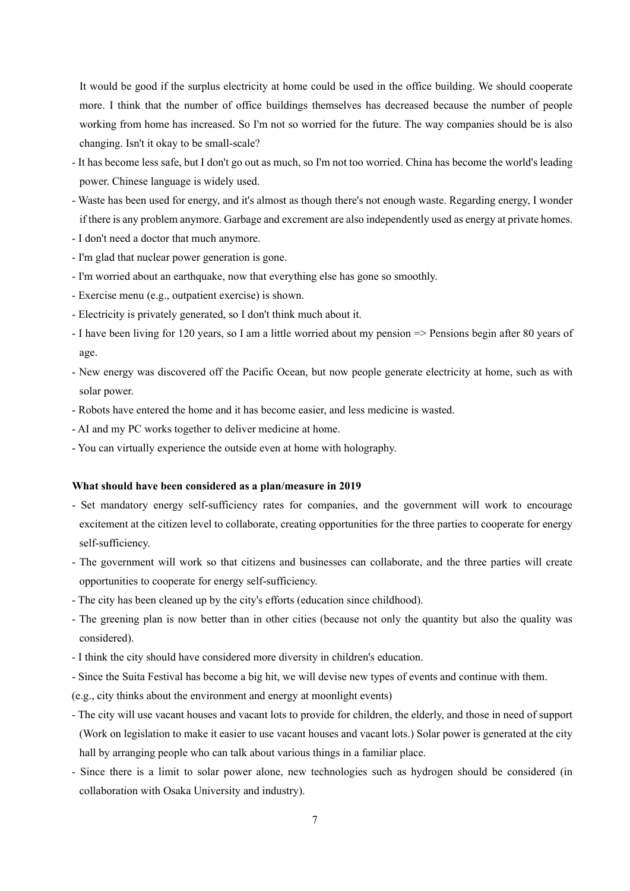It would be good if the surplus electricity at home could be used in the office building. We should cooperate more. I think that the number of office buildings themselves has decreased because the number of people working from home has increased. So I'm not so worried for the future. The way companies should be is also changing. Isn't it okay to be small-scale?

- It has become less safe, but I don't go out as much, so I'm not too worried. China has become the world's leading power. Chinese language is widely used.
- Waste has been used for energy, and it's almost as though there's not enough waste. Regarding energy, I wonder if there is any problem anymore. Garbage and excrement are also independently used as energy at private homes.
- I don't need a doctor that much anymore.
- I'm glad that nuclear power generation is gone.
- I'm worried about an earthquake, now that everything else has gone so smoothly.
- Exercise menu (e.g., outpatient exercise) is shown.
- Electricity is privately generated, so I don't think much about it.
- I have been living for 120 years, so I am a little worried about my pension => Pensions begin after 80 years of age.
- New energy was discovered off the Pacific Ocean, but now people generate electricity at home, such as with solar power.
- Robots have entered the home and it has become easier, and less medicine is wasted.
- AI and my PC works together to deliver medicine at home.
- You can virtually experience the outside even at home with holography.

#### **What should have been considered as a plan/measure in 2019**

- Set mandatory energy self-sufficiency rates for companies, and the government will work to encourage excitement at the citizen level to collaborate, creating opportunities for the three parties to cooperate for energy self-sufficiency.
- The government will work so that citizens and businesses can collaborate, and the three parties will create opportunities to cooperate for energy self-sufficiency.
- The city has been cleaned up by the city's efforts (education since childhood).
- The greening plan is now better than in other cities (because not only the quantity but also the quality was considered).
- I think the city should have considered more diversity in children's education.
- Since the Suita Festival has become a big hit, we will devise new types of events and continue with them.

(e.g., city thinks about the environment and energy at moonlight events)

- The city will use vacant houses and vacant lots to provide for children, the elderly, and those in need of support (Work on legislation to make it easier to use vacant houses and vacant lots.) Solar power is generated at the city hall by arranging people who can talk about various things in a familiar place.
- Since there is a limit to solar power alone, new technologies such as hydrogen should be considered (in collaboration with Osaka University and industry).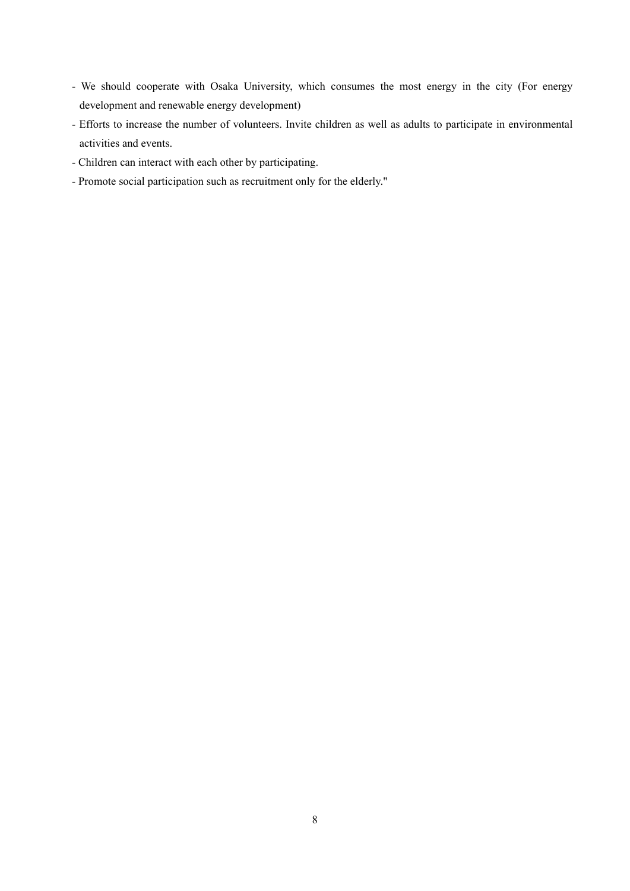- We should cooperate with Osaka University, which consumes the most energy in the city (For energy development and renewable energy development)
- Efforts to increase the number of volunteers. Invite children as well as adults to participate in environmental activities and events.
- Children can interact with each other by participating.
- Promote social participation such as recruitment only for the elderly."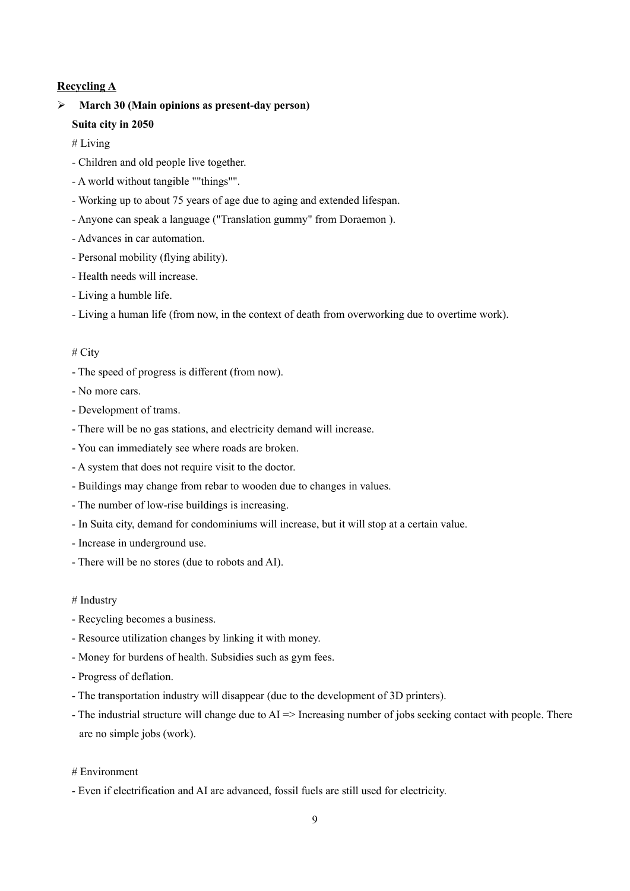### **Recycling A**

# **March 30 (Main opinions as present-day person) Suita city in 2050**

# Living

- Children and old people live together.
- A world without tangible ""things"".
- Working up to about 75 years of age due to aging and extended lifespan.
- Anyone can speak a language ("Translation gummy" from Doraemon ).
- Advances in car automation.
- Personal mobility (flying ability).
- Health needs will increase.
- Living a humble life.
- Living a human life (from now, in the context of death from overworking due to overtime work).

### # City

- The speed of progress is different (from now).
- No more cars.
- Development of trams.
- There will be no gas stations, and electricity demand will increase.
- You can immediately see where roads are broken.
- A system that does not require visit to the doctor.
- Buildings may change from rebar to wooden due to changes in values.
- The number of low-rise buildings is increasing.
- In Suita city, demand for condominiums will increase, but it will stop at a certain value.
- Increase in underground use.
- There will be no stores (due to robots and AI).

#### # Industry

- Recycling becomes a business.
- Resource utilization changes by linking it with money.
- Money for burdens of health. Subsidies such as gym fees.
- Progress of deflation.
- The transportation industry will disappear (due to the development of 3D printers).
- The industrial structure will change due to  $AI \Rightarrow$  Increasing number of jobs seeking contact with people. There are no simple jobs (work).
- # Environment
- Even if electrification and AI are advanced, fossil fuels are still used for electricity.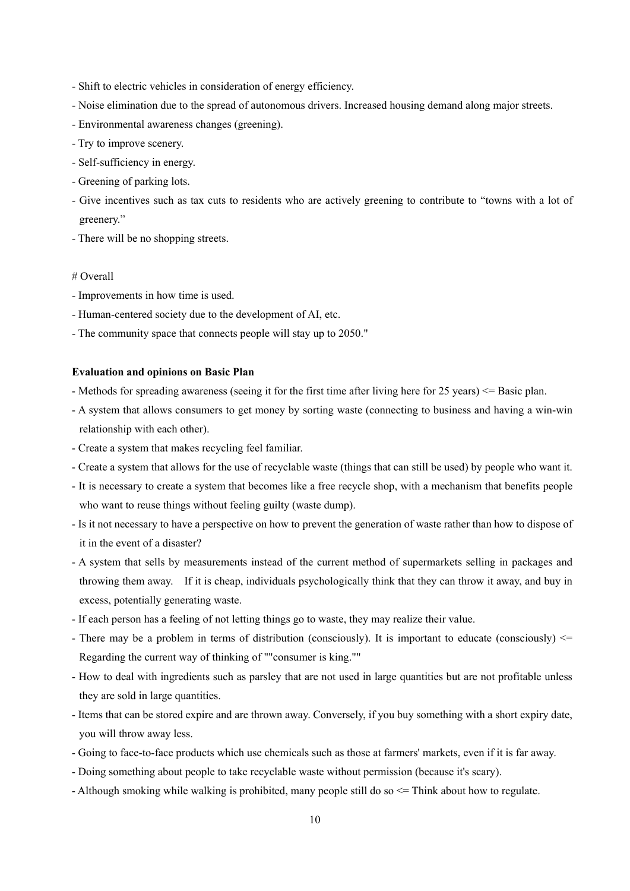- Shift to electric vehicles in consideration of energy efficiency.
- Noise elimination due to the spread of autonomous drivers. Increased housing demand along major streets.
- Environmental awareness changes (greening).
- Try to improve scenery.
- Self-sufficiency in energy.
- Greening of parking lots.
- Give incentives such as tax cuts to residents who are actively greening to contribute to "towns with a lot of greenery."
- There will be no shopping streets.

### # Overall

- Improvements in how time is used.
- Human-centered society due to the development of AI, etc.
- The community space that connects people will stay up to 2050."

### **Evaluation and opinions on Basic Plan**

- Methods for spreading awareness (seeing it for the first time after living here for 25 years) <= Basic plan.
- A system that allows consumers to get money by sorting waste (connecting to business and having a win-win relationship with each other).
- Create a system that makes recycling feel familiar.
- Create a system that allows for the use of recyclable waste (things that can still be used) by people who want it.
- It is necessary to create a system that becomes like a free recycle shop, with a mechanism that benefits people who want to reuse things without feeling guilty (waste dump).
- Is it not necessary to have a perspective on how to prevent the generation of waste rather than how to dispose of it in the event of a disaster?
- A system that sells by measurements instead of the current method of supermarkets selling in packages and throwing them away. If it is cheap, individuals psychologically think that they can throw it away, and buy in excess, potentially generating waste.
- If each person has a feeling of not letting things go to waste, they may realize their value.
- There may be a problem in terms of distribution (consciously). It is important to educate (consciously)  $\leq$ Regarding the current way of thinking of ""consumer is king.""
- How to deal with ingredients such as parsley that are not used in large quantities but are not profitable unless they are sold in large quantities.
- Items that can be stored expire and are thrown away. Conversely, if you buy something with a short expiry date, you will throw away less.
- Going to face-to-face products which use chemicals such as those at farmers' markets, even if it is far away.
- Doing something about people to take recyclable waste without permission (because it's scary).
- Although smoking while walking is prohibited, many people still do so <= Think about how to regulate.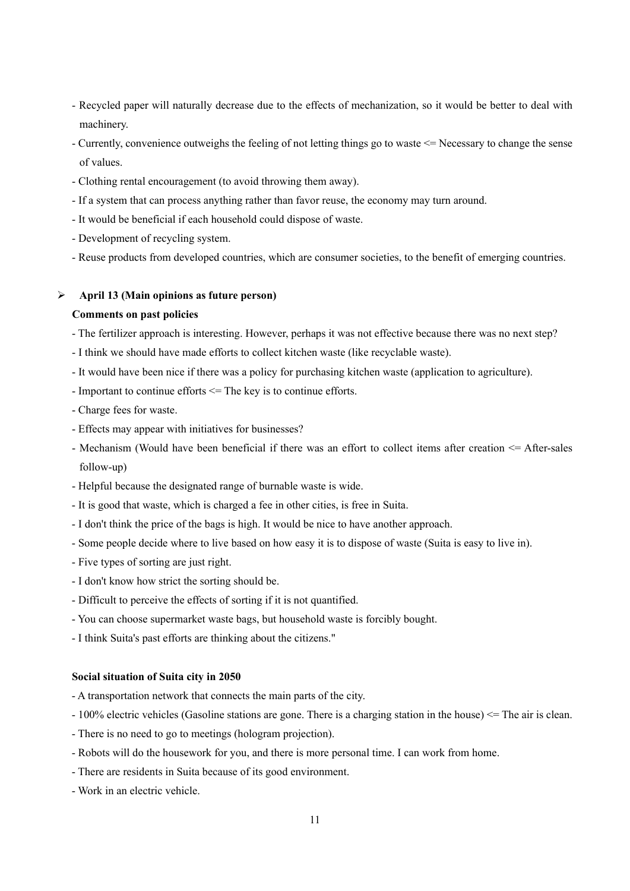- Recycled paper will naturally decrease due to the effects of mechanization, so it would be better to deal with machinery.
- Currently, convenience outweighs the feeling of not letting things go to waste <= Necessary to change the sense of values.
- Clothing rental encouragement (to avoid throwing them away).
- If a system that can process anything rather than favor reuse, the economy may turn around.
- It would be beneficial if each household could dispose of waste.
- Development of recycling system.
- Reuse products from developed countries, which are consumer societies, to the benefit of emerging countries.

## **April 13 (Main opinions as future person)**

#### **Comments on past policies**

- The fertilizer approach is interesting. However, perhaps it was not effective because there was no next step?
- I think we should have made efforts to collect kitchen waste (like recyclable waste).
- It would have been nice if there was a policy for purchasing kitchen waste (application to agriculture).
- Important to continue efforts <= The key is to continue efforts.
- Charge fees for waste.
- Effects may appear with initiatives for businesses?
- Mechanism (Would have been beneficial if there was an effort to collect items after creation <= After-sales follow-up)
- Helpful because the designated range of burnable waste is wide.
- It is good that waste, which is charged a fee in other cities, is free in Suita.
- I don't think the price of the bags is high. It would be nice to have another approach.
- Some people decide where to live based on how easy it is to dispose of waste (Suita is easy to live in).
- Five types of sorting are just right.
- I don't know how strict the sorting should be.
- Difficult to perceive the effects of sorting if it is not quantified.
- You can choose supermarket waste bags, but household waste is forcibly bought.
- I think Suita's past efforts are thinking about the citizens."

#### **Social situation of Suita city in 2050**

- A transportation network that connects the main parts of the city.
- 100% electric vehicles (Gasoline stations are gone. There is a charging station in the house) <= The air is clean.
- There is no need to go to meetings (hologram projection).
- Robots will do the housework for you, and there is more personal time. I can work from home.
- There are residents in Suita because of its good environment.
- Work in an electric vehicle.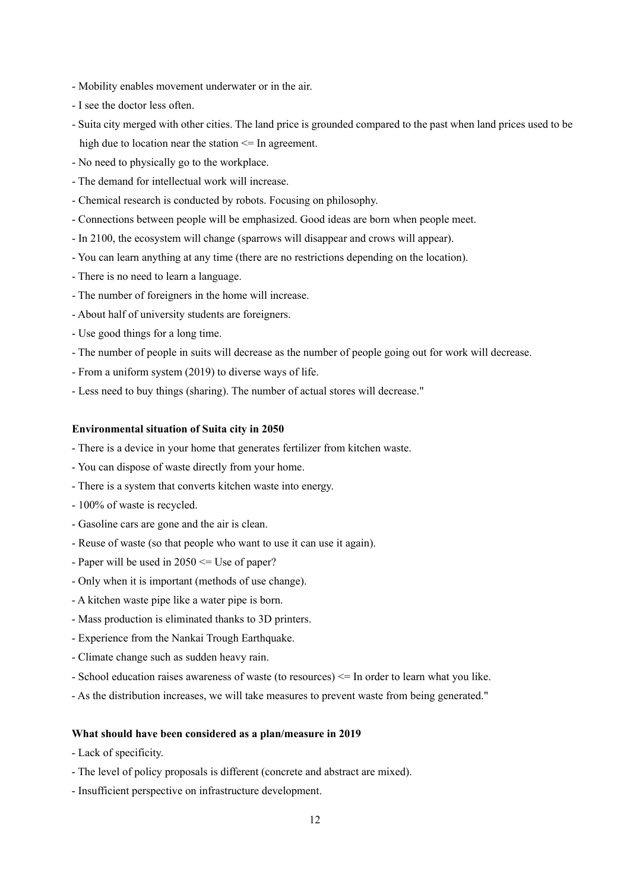- Mobility enables movement underwater or in the air.
- I see the doctor less often.
- Suita city merged with other cities. The land price is grounded compared to the past when land prices used to be high due to location near the station  $\leq$  In agreement.
- No need to physically go to the workplace.
- The demand for intellectual work will increase.
- Chemical research is conducted by robots. Focusing on philosophy.
- Connections between people will be emphasized. Good ideas are born when people meet.
- In 2100, the ecosystem will change (sparrows will disappear and crows will appear).
- You can learn anything at any time (there are no restrictions depending on the location).
- There is no need to learn a language.
- The number of foreigners in the home will increase.
- About half of university students are foreigners.
- Use good things for a long time.
- The number of people in suits will decrease as the number of people going out for work will decrease.
- From a uniform system (2019) to diverse ways of life.
- Less need to buy things (sharing). The number of actual stores will decrease."

- There is a device in your home that generates fertilizer from kitchen waste.
- You can dispose of waste directly from your home.
- There is a system that converts kitchen waste into energy.
- 100% of waste is recycled.
- Gasoline cars are gone and the air is clean.
- Reuse of waste (so that people who want to use it can use it again).
- Paper will be used in 2050 <= Use of paper?
- Only when it is important (methods of use change).
- A kitchen waste pipe like a water pipe is born.
- Mass production is eliminated thanks to 3D printers.
- Experience from the Nankai Trough Earthquake.
- Climate change such as sudden heavy rain.
- School education raises awareness of waste (to resources) <= In order to learn what you like.
- As the distribution increases, we will take measures to prevent waste from being generated."

- Lack of specificity.
- The level of policy proposals is different (concrete and abstract are mixed).
- Insufficient perspective on infrastructure development.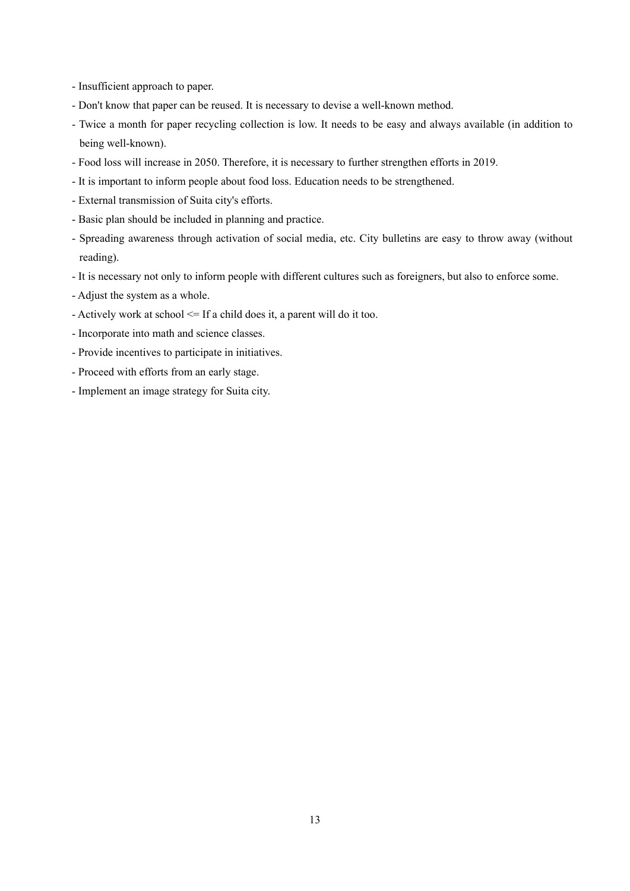- Insufficient approach to paper.
- Don't know that paper can be reused. It is necessary to devise a well-known method.
- Twice a month for paper recycling collection is low. It needs to be easy and always available (in addition to being well-known).
- Food loss will increase in 2050. Therefore, it is necessary to further strengthen efforts in 2019.
- It is important to inform people about food loss. Education needs to be strengthened.
- External transmission of Suita city's efforts.
- Basic plan should be included in planning and practice.
- Spreading awareness through activation of social media, etc. City bulletins are easy to throw away (without reading).
- It is necessary not only to inform people with different cultures such as foreigners, but also to enforce some.
- Adjust the system as a whole.
- Actively work at school <= If a child does it, a parent will do it too.
- Incorporate into math and science classes.
- Provide incentives to participate in initiatives.
- Proceed with efforts from an early stage.
- Implement an image strategy for Suita city.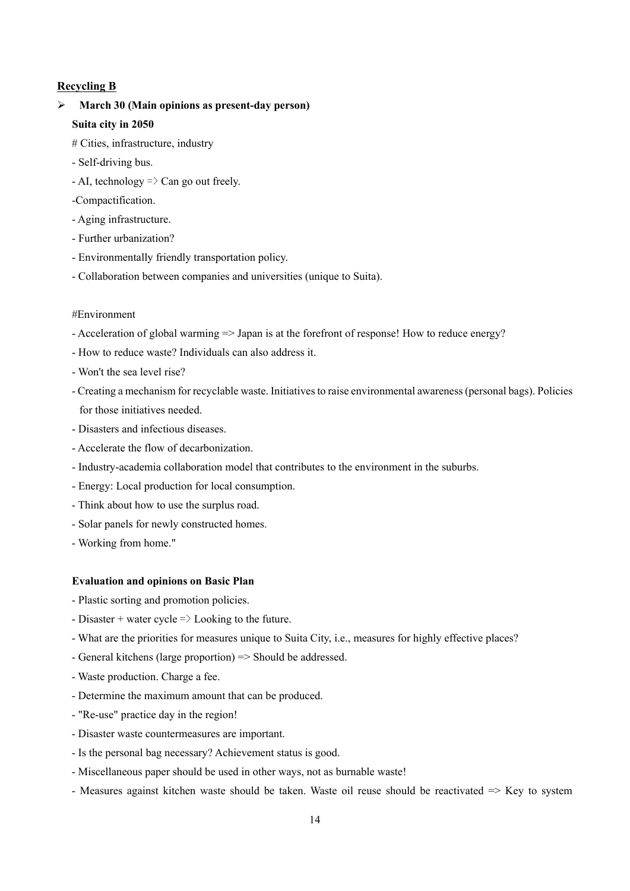### **Recycling B**

## **March 30 (Main opinions as present-day person)**

### **Suita city in 2050**

- # Cities, infrastructure, industry
- Self-driving bus.
- $-$  AI, technology  $\Rightarrow$  Can go out freely.
- -Compactification.
- Aging infrastructure.
- Further urbanization?
- Environmentally friendly transportation policy.
- Collaboration between companies and universities (unique to Suita).

### #Environment

- Acceleration of global warming => Japan is at the forefront of response! How to reduce energy?
- How to reduce waste? Individuals can also address it.
- Won't the sea level rise?
- Creating a mechanism for recyclable waste. Initiatives to raise environmental awareness (personal bags). Policies for those initiatives needed.
- Disasters and infectious diseases.
- Accelerate the flow of decarbonization.
- Industry-academia collaboration model that contributes to the environment in the suburbs.
- Energy: Local production for local consumption.
- Think about how to use the surplus road.
- Solar panels for newly constructed homes.
- Working from home."

#### **Evaluation and opinions on Basic Plan**

- Plastic sorting and promotion policies.
- Disaster + water cycle  $\Rightarrow$  Looking to the future.
- What are the priorities for measures unique to Suita City, i.e., measures for highly effective places?
- General kitchens (large proportion) => Should be addressed.
- Waste production. Charge a fee.
- Determine the maximum amount that can be produced.
- "Re-use" practice day in the region!
- Disaster waste countermeasures are important.
- Is the personal bag necessary? Achievement status is good.
- Miscellaneous paper should be used in other ways, not as burnable waste!
- Measures against kitchen waste should be taken. Waste oil reuse should be reactivated  $\Rightarrow$  Key to system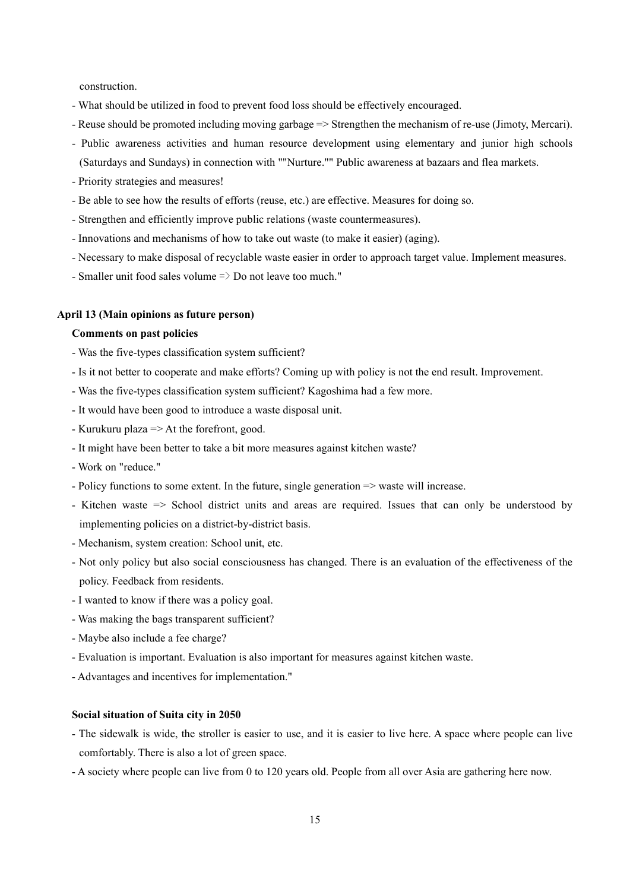construction.

- What should be utilized in food to prevent food loss should be effectively encouraged.
- Reuse should be promoted including moving garbage => Strengthen the mechanism of re-use (Jimoty, Mercari).
- Public awareness activities and human resource development using elementary and junior high schools (Saturdays and Sundays) in connection with ""Nurture."" Public awareness at bazaars and flea markets.
- Priority strategies and measures!
- Be able to see how the results of efforts (reuse, etc.) are effective. Measures for doing so.
- Strengthen and efficiently improve public relations (waste countermeasures).
- Innovations and mechanisms of how to take out waste (to make it easier) (aging).
- Necessary to make disposal of recyclable waste easier in order to approach target value. Implement measures.
- Smaller unit food sales volume  $\Rightarrow$  Do not leave too much."

#### **April 13 (Main opinions as future person)**

### **Comments on past policies**

- Was the five-types classification system sufficient?
- Is it not better to cooperate and make efforts? Coming up with policy is not the end result. Improvement.
- Was the five-types classification system sufficient? Kagoshima had a few more.
- It would have been good to introduce a waste disposal unit.
- Kurukuru plaza => At the forefront, good.
- It might have been better to take a bit more measures against kitchen waste?
- Work on "reduce."
- Policy functions to some extent. In the future, single generation => waste will increase.
- Kitchen waste => School district units and areas are required. Issues that can only be understood by implementing policies on a district-by-district basis.
- Mechanism, system creation: School unit, etc.
- Not only policy but also social consciousness has changed. There is an evaluation of the effectiveness of the policy. Feedback from residents.
- I wanted to know if there was a policy goal.
- Was making the bags transparent sufficient?
- Maybe also include a fee charge?
- Evaluation is important. Evaluation is also important for measures against kitchen waste.
- Advantages and incentives for implementation."

### **Social situation of Suita city in 2050**

- The sidewalk is wide, the stroller is easier to use, and it is easier to live here. A space where people can live comfortably. There is also a lot of green space.
- A society where people can live from 0 to 120 years old. People from all over Asia are gathering here now.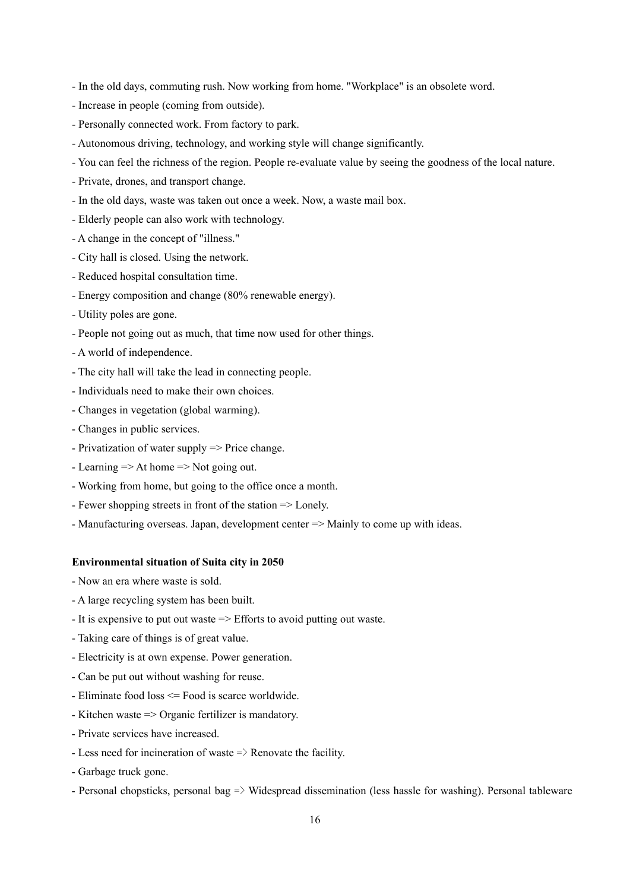- In the old days, commuting rush. Now working from home. "Workplace" is an obsolete word.
- Increase in people (coming from outside).
- Personally connected work. From factory to park.
- Autonomous driving, technology, and working style will change significantly.
- You can feel the richness of the region. People re-evaluate value by seeing the goodness of the local nature.
- Private, drones, and transport change.
- In the old days, waste was taken out once a week. Now, a waste mail box.
- Elderly people can also work with technology.
- A change in the concept of "illness."
- City hall is closed. Using the network.
- Reduced hospital consultation time.
- Energy composition and change (80% renewable energy).
- Utility poles are gone.
- People not going out as much, that time now used for other things.
- A world of independence.
- The city hall will take the lead in connecting people.
- Individuals need to make their own choices.
- Changes in vegetation (global warming).
- Changes in public services.
- Privatization of water supply => Price change.
- Learning => At home => Not going out.
- Working from home, but going to the office once a month.
- Fewer shopping streets in front of the station => Lonely.
- Manufacturing overseas. Japan, development center => Mainly to come up with ideas.

- Now an era where waste is sold.
- A large recycling system has been built.
- It is expensive to put out waste => Efforts to avoid putting out waste.
- Taking care of things is of great value.
- Electricity is at own expense. Power generation.
- Can be put out without washing for reuse.
- Eliminate food loss <= Food is scarce worldwide.
- Kitchen waste => Organic fertilizer is mandatory.
- Private services have increased.
- Less need for incineration of waste  $\Rightarrow$  Renovate the facility.
- Garbage truck gone.
- Personal chopsticks, personal bag => Widespread dissemination (less hassle for washing). Personal tableware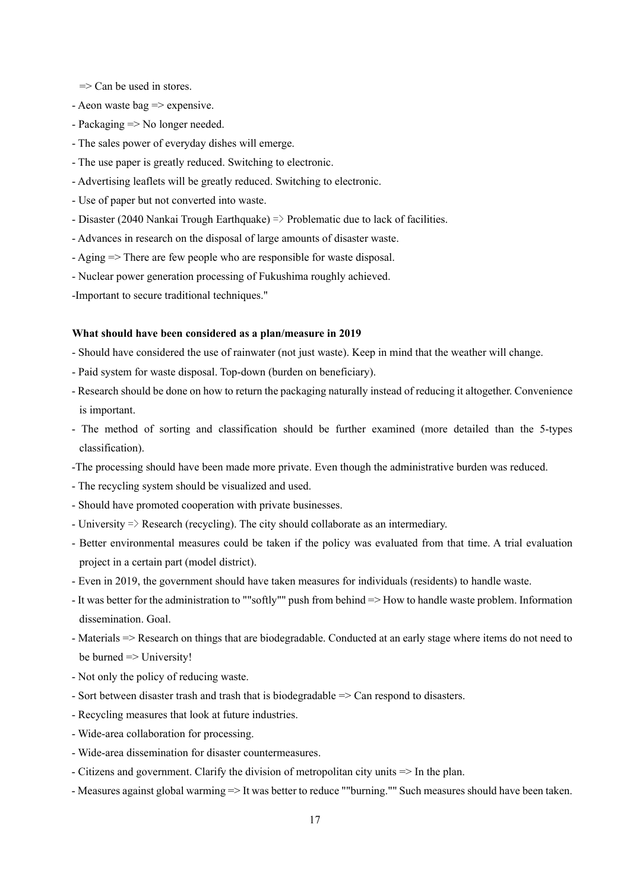$\Rightarrow$  Can be used in stores.

- Aeon waste bag  $\Rightarrow$  expensive.
- Packaging => No longer needed.
- The sales power of everyday dishes will emerge.
- The use paper is greatly reduced. Switching to electronic.
- Advertising leaflets will be greatly reduced. Switching to electronic.
- Use of paper but not converted into waste.
- Disaster (2040 Nankai Trough Earthquake) => Problematic due to lack of facilities.
- Advances in research on the disposal of large amounts of disaster waste.
- Aging => There are few people who are responsible for waste disposal.
- Nuclear power generation processing of Fukushima roughly achieved.

-Important to secure traditional techniques."

- Should have considered the use of rainwater (not just waste). Keep in mind that the weather will change.
- Paid system for waste disposal. Top-down (burden on beneficiary).
- Research should be done on how to return the packaging naturally instead of reducing it altogether. Convenience is important.
- The method of sorting and classification should be further examined (more detailed than the 5-types classification).
- -The processing should have been made more private. Even though the administrative burden was reduced.
- The recycling system should be visualized and used.
- Should have promoted cooperation with private businesses.
- University  $\Rightarrow$  Research (recycling). The city should collaborate as an intermediary.
- Better environmental measures could be taken if the policy was evaluated from that time. A trial evaluation project in a certain part (model district).
- Even in 2019, the government should have taken measures for individuals (residents) to handle waste.
- It was better for the administration to ""softly"" push from behind => How to handle waste problem. Information dissemination. Goal.
- Materials => Research on things that are biodegradable. Conducted at an early stage where items do not need to be burned  $\Rightarrow$  University!
- Not only the policy of reducing waste.
- Sort between disaster trash and trash that is biodegradable => Can respond to disasters.
- Recycling measures that look at future industries.
- Wide-area collaboration for processing.
- Wide-area dissemination for disaster countermeasures.
- Citizens and government. Clarify the division of metropolitan city units => In the plan.
- Measures against global warming => It was better to reduce ""burning."" Such measures should have been taken.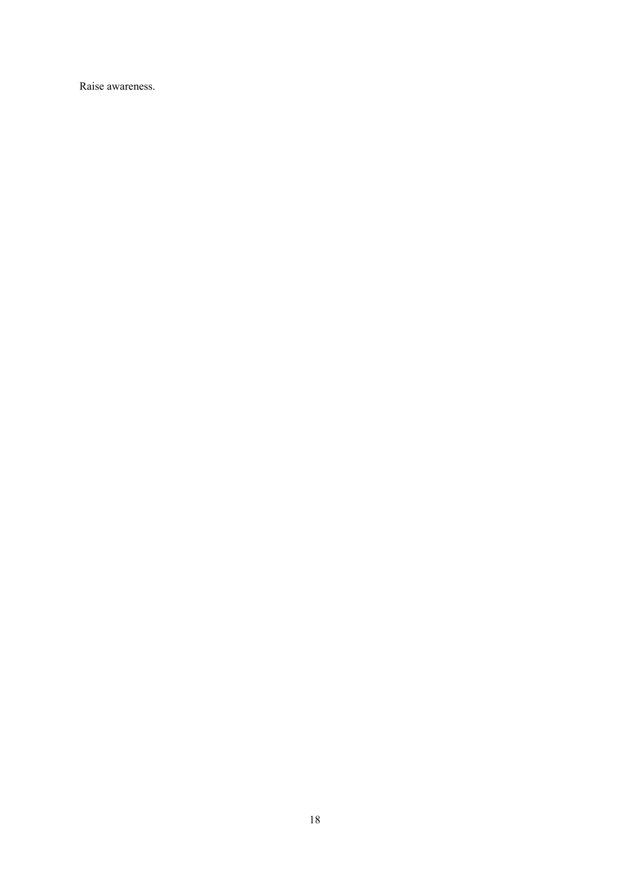Raise awareness.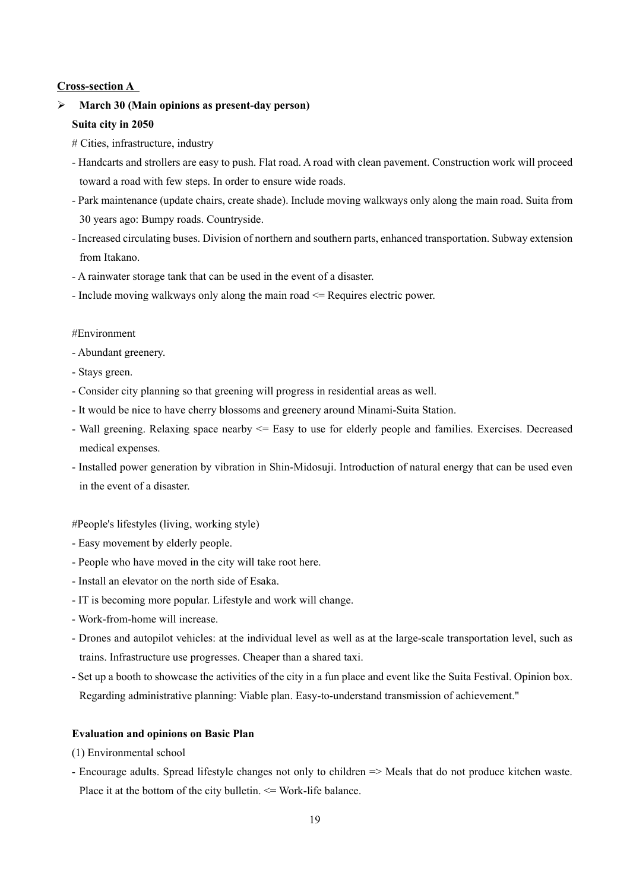### **Cross-section A**

## **March 30 (Main opinions as present-day person)**

### **Suita city in 2050**

- # Cities, infrastructure, industry
- Handcarts and strollers are easy to push. Flat road. A road with clean pavement. Construction work will proceed toward a road with few steps. In order to ensure wide roads.
- Park maintenance (update chairs, create shade). Include moving walkways only along the main road. Suita from 30 years ago: Bumpy roads. Countryside.
- Increased circulating buses. Division of northern and southern parts, enhanced transportation. Subway extension from Itakano.
- A rainwater storage tank that can be used in the event of a disaster.
- Include moving walkways only along the main road <= Requires electric power.

### #Environment

- Abundant greenery.
- Stays green.
- Consider city planning so that greening will progress in residential areas as well.
- It would be nice to have cherry blossoms and greenery around Minami-Suita Station.
- Wall greening. Relaxing space nearby <= Easy to use for elderly people and families. Exercises. Decreased medical expenses.
- Installed power generation by vibration in Shin-Midosuji. Introduction of natural energy that can be used even in the event of a disaster.

### #People's lifestyles (living, working style)

- Easy movement by elderly people.
- People who have moved in the city will take root here.
- Install an elevator on the north side of Esaka.
- IT is becoming more popular. Lifestyle and work will change.
- Work-from-home will increase.
- Drones and autopilot vehicles: at the individual level as well as at the large-scale transportation level, such as trains. Infrastructure use progresses. Cheaper than a shared taxi.
- Set up a booth to showcase the activities of the city in a fun place and event like the Suita Festival. Opinion box. Regarding administrative planning: Viable plan. Easy-to-understand transmission of achievement."

#### **Evaluation and opinions on Basic Plan**

- (1) Environmental school
- Encourage adults. Spread lifestyle changes not only to children => Meals that do not produce kitchen waste. Place it at the bottom of the city bulletin.  $\leq$  Work-life balance.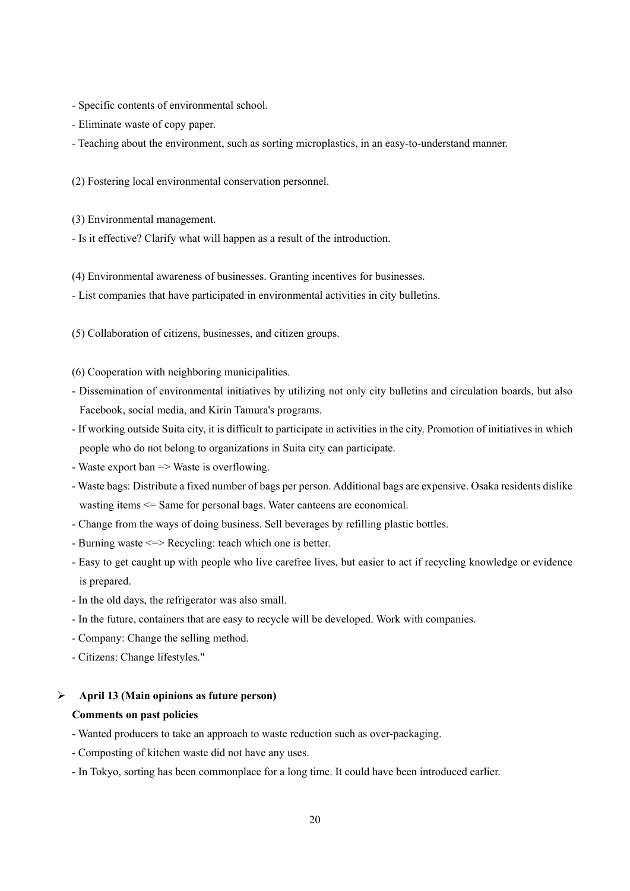- Specific contents of environmental school.
- Eliminate waste of copy paper.
- Teaching about the environment, such as sorting microplastics, in an easy-to-understand manner.
- (2) Fostering local environmental conservation personnel.
- (3) Environmental management.
- Is it effective? Clarify what will happen as a result of the introduction.
- (4) Environmental awareness of businesses. Granting incentives for businesses.
- List companies that have participated in environmental activities in city bulletins.
- (5) Collaboration of citizens, businesses, and citizen groups.
- (6) Cooperation with neighboring municipalities.
- Dissemination of environmental initiatives by utilizing not only city bulletins and circulation boards, but also Facebook, social media, and Kirin Tamura's programs.
- If working outside Suita city, it is difficult to participate in activities in the city. Promotion of initiatives in which people who do not belong to organizations in Suita city can participate.
- Waste export ban => Waste is overflowing.
- Waste bags: Distribute a fixed number of bags per person. Additional bags are expensive. Osaka residents dislike wasting items <= Same for personal bags. Water canteens are economical.
- Change from the ways of doing business. Sell beverages by refilling plastic bottles.
- Burning waste <=> Recycling: teach which one is better.
- Easy to get caught up with people who live carefree lives, but easier to act if recycling knowledge or evidence is prepared.
- In the old days, the refrigerator was also small.
- In the future, containers that are easy to recycle will be developed. Work with companies.
- Company: Change the selling method.
- Citizens: Change lifestyles."

### **April 13 (Main opinions as future person)**

### **Comments on past policies**

- Wanted producers to take an approach to waste reduction such as over-packaging.
- Composting of kitchen waste did not have any uses.
- In Tokyo, sorting has been commonplace for a long time. It could have been introduced earlier.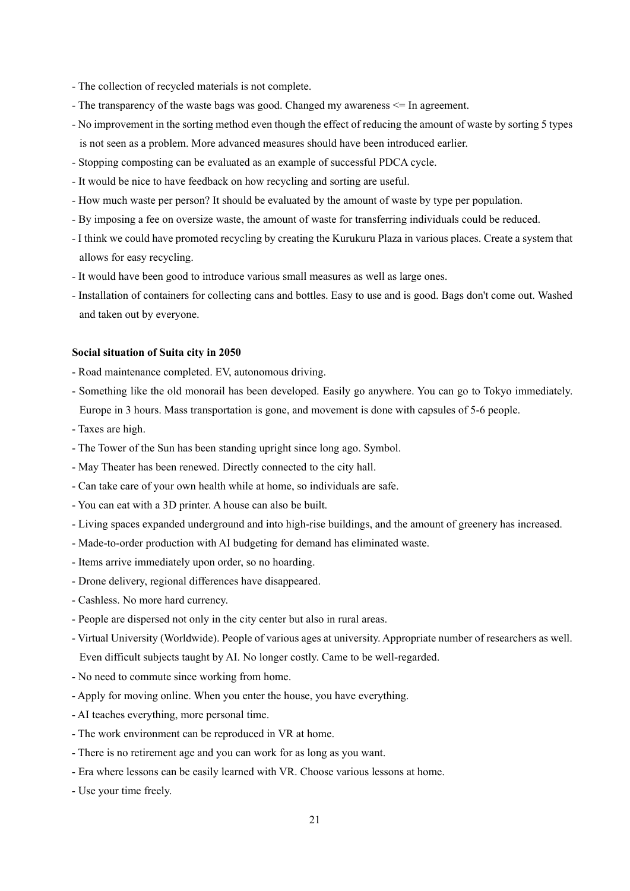- The collection of recycled materials is not complete.
- The transparency of the waste bags was good. Changed my awareness <= In agreement.
- No improvement in the sorting method even though the effect of reducing the amount of waste by sorting 5 types is not seen as a problem. More advanced measures should have been introduced earlier.
- Stopping composting can be evaluated as an example of successful PDCA cycle.
- It would be nice to have feedback on how recycling and sorting are useful.
- How much waste per person? It should be evaluated by the amount of waste by type per population.
- By imposing a fee on oversize waste, the amount of waste for transferring individuals could be reduced.
- I think we could have promoted recycling by creating the Kurukuru Plaza in various places. Create a system that allows for easy recycling.
- It would have been good to introduce various small measures as well as large ones.
- Installation of containers for collecting cans and bottles. Easy to use and is good. Bags don't come out. Washed and taken out by everyone.

#### **Social situation of Suita city in 2050**

- Road maintenance completed. EV, autonomous driving.
- Something like the old monorail has been developed. Easily go anywhere. You can go to Tokyo immediately. Europe in 3 hours. Mass transportation is gone, and movement is done with capsules of 5-6 people.
- Taxes are high.
- The Tower of the Sun has been standing upright since long ago. Symbol.
- May Theater has been renewed. Directly connected to the city hall.
- Can take care of your own health while at home, so individuals are safe.
- You can eat with a 3D printer. A house can also be built.
- Living spaces expanded underground and into high-rise buildings, and the amount of greenery has increased.
- Made-to-order production with AI budgeting for demand has eliminated waste.
- Items arrive immediately upon order, so no hoarding.
- Drone delivery, regional differences have disappeared.
- Cashless. No more hard currency.
- People are dispersed not only in the city center but also in rural areas.
- Virtual University (Worldwide). People of various ages at university. Appropriate number of researchers as well. Even difficult subjects taught by AI. No longer costly. Came to be well-regarded.
- No need to commute since working from home.
- Apply for moving online. When you enter the house, you have everything.
- AI teaches everything, more personal time.
- The work environment can be reproduced in VR at home.
- There is no retirement age and you can work for as long as you want.
- Era where lessons can be easily learned with VR. Choose various lessons at home.
- Use your time freely.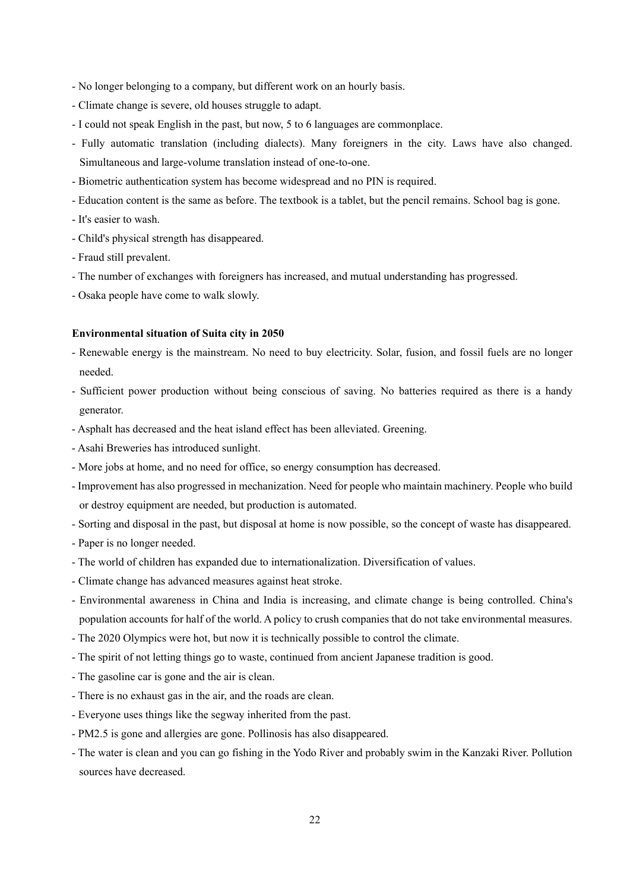- No longer belonging to a company, but different work on an hourly basis.
- Climate change is severe, old houses struggle to adapt.
- I could not speak English in the past, but now, 5 to 6 languages are commonplace.
- Fully automatic translation (including dialects). Many foreigners in the city. Laws have also changed. Simultaneous and large-volume translation instead of one-to-one.
- Biometric authentication system has become widespread and no PIN is required.
- Education content is the same as before. The textbook is a tablet, but the pencil remains. School bag is gone.
- It's easier to wash.
- Child's physical strength has disappeared.
- Fraud still prevalent.
- The number of exchanges with foreigners has increased, and mutual understanding has progressed.
- Osaka people have come to walk slowly.

- Renewable energy is the mainstream. No need to buy electricity. Solar, fusion, and fossil fuels are no longer needed.
- Sufficient power production without being conscious of saving. No batteries required as there is a handy generator.
- Asphalt has decreased and the heat island effect has been alleviated. Greening.
- Asahi Breweries has introduced sunlight.
- More jobs at home, and no need for office, so energy consumption has decreased.
- Improvement has also progressed in mechanization. Need for people who maintain machinery. People who build or destroy equipment are needed, but production is automated.
- Sorting and disposal in the past, but disposal at home is now possible, so the concept of waste has disappeared.
- Paper is no longer needed.
- The world of children has expanded due to internationalization. Diversification of values.
- Climate change has advanced measures against heat stroke.
- Environmental awareness in China and India is increasing, and climate change is being controlled. China's population accounts for half of the world. A policy to crush companies that do not take environmental measures.
- The 2020 Olympics were hot, but now it is technically possible to control the climate.
- The spirit of not letting things go to waste, continued from ancient Japanese tradition is good.
- The gasoline car is gone and the air is clean.
- There is no exhaust gas in the air, and the roads are clean.
- Everyone uses things like the segway inherited from the past.
- PM2.5 is gone and allergies are gone. Pollinosis has also disappeared.
- The water is clean and you can go fishing in the Yodo River and probably swim in the Kanzaki River. Pollution sources have decreased.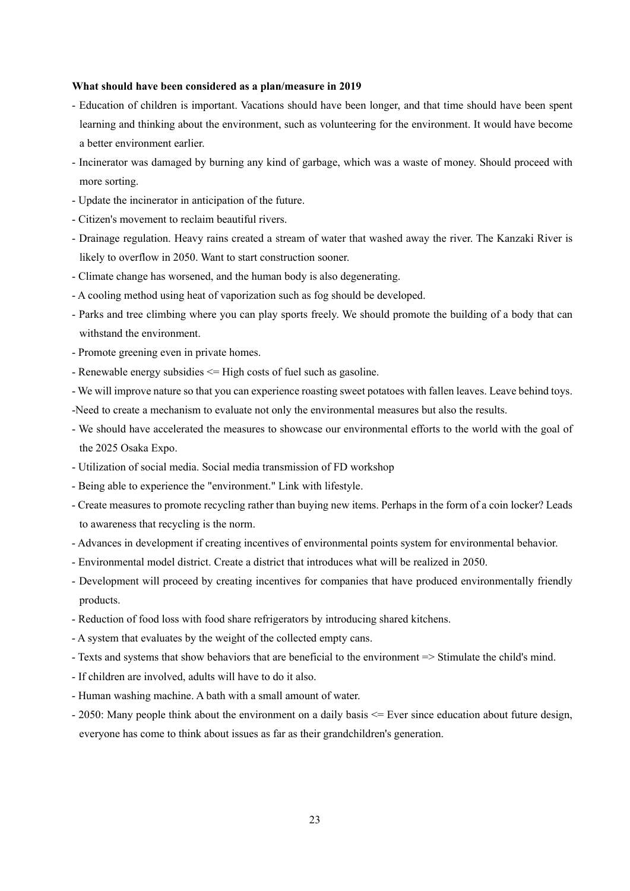- Education of children is important. Vacations should have been longer, and that time should have been spent learning and thinking about the environment, such as volunteering for the environment. It would have become a better environment earlier.
- Incinerator was damaged by burning any kind of garbage, which was a waste of money. Should proceed with more sorting.
- Update the incinerator in anticipation of the future.
- Citizen's movement to reclaim beautiful rivers.
- Drainage regulation. Heavy rains created a stream of water that washed away the river. The Kanzaki River is likely to overflow in 2050. Want to start construction sooner.
- Climate change has worsened, and the human body is also degenerating.
- A cooling method using heat of vaporization such as fog should be developed.
- Parks and tree climbing where you can play sports freely. We should promote the building of a body that can withstand the environment.
- Promote greening even in private homes.
- Renewable energy subsidies <= High costs of fuel such as gasoline.
- We will improve nature so that you can experience roasting sweet potatoes with fallen leaves. Leave behind toys.
- -Need to create a mechanism to evaluate not only the environmental measures but also the results.
- We should have accelerated the measures to showcase our environmental efforts to the world with the goal of the 2025 Osaka Expo.
- Utilization of social media. Social media transmission of FD workshop
- Being able to experience the "environment." Link with lifestyle.
- Create measures to promote recycling rather than buying new items. Perhaps in the form of a coin locker? Leads to awareness that recycling is the norm.
- Advances in development if creating incentives of environmental points system for environmental behavior.
- Environmental model district. Create a district that introduces what will be realized in 2050.
- Development will proceed by creating incentives for companies that have produced environmentally friendly products.
- Reduction of food loss with food share refrigerators by introducing shared kitchens.
- A system that evaluates by the weight of the collected empty cans.
- Texts and systems that show behaviors that are beneficial to the environment => Stimulate the child's mind.
- If children are involved, adults will have to do it also.
- Human washing machine. A bath with a small amount of water.
- 2050: Many people think about the environment on a daily basis <= Ever since education about future design, everyone has come to think about issues as far as their grandchildren's generation.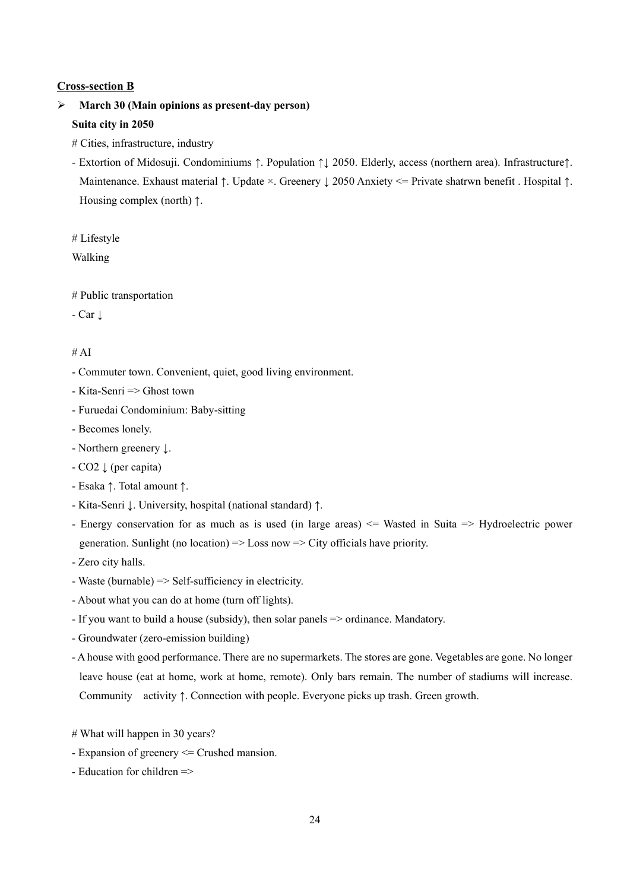### **Cross-section B**

# **March 30 (Main opinions as present-day person) Suita city in 2050**

- # Cities, infrastructure, industry
- Extortion of Midosuji. Condominiums ↑. Population ↑↓ 2050. Elderly, access (northern area). Infrastructure↑. Maintenance. Exhaust material ↑. Update ×. Greenery ↓ 2050 Anxiety <= Private shatrwn benefit . Hospital ↑. Housing complex (north) ↑.

# Lifestyle

Walking

# Public transportation

- Car ↓

### $# AI$

- Commuter town. Convenient, quiet, good living environment.
- Kita-Senri => Ghost town
- Furuedai Condominium: Baby-sitting
- Becomes lonely.
- Northern greenery ↓.
- CO2 ↓ (per capita)
- Esaka ↑. Total amount ↑.
- Kita-Senri ↓. University, hospital (national standard) ↑.
- Energy conservation for as much as is used (in large areas) <= Wasted in Suita => Hydroelectric power generation. Sunlight (no location)  $\Rightarrow$  Loss now  $\Rightarrow$  City officials have priority.

- Zero city halls.

- Waste (burnable) => Self-sufficiency in electricity.
- About what you can do at home (turn off lights).
- If you want to build a house (subsidy), then solar panels => ordinance. Mandatory.
- Groundwater (zero-emission building)
- A house with good performance. There are no supermarkets. The stores are gone. Vegetables are gone. No longer leave house (eat at home, work at home, remote). Only bars remain. The number of stadiums will increase. Community activity ↑. Connection with people. Everyone picks up trash. Green growth.
- # What will happen in 30 years?
- Expansion of greenery <= Crushed mansion.
- Education for children  $\Rightarrow$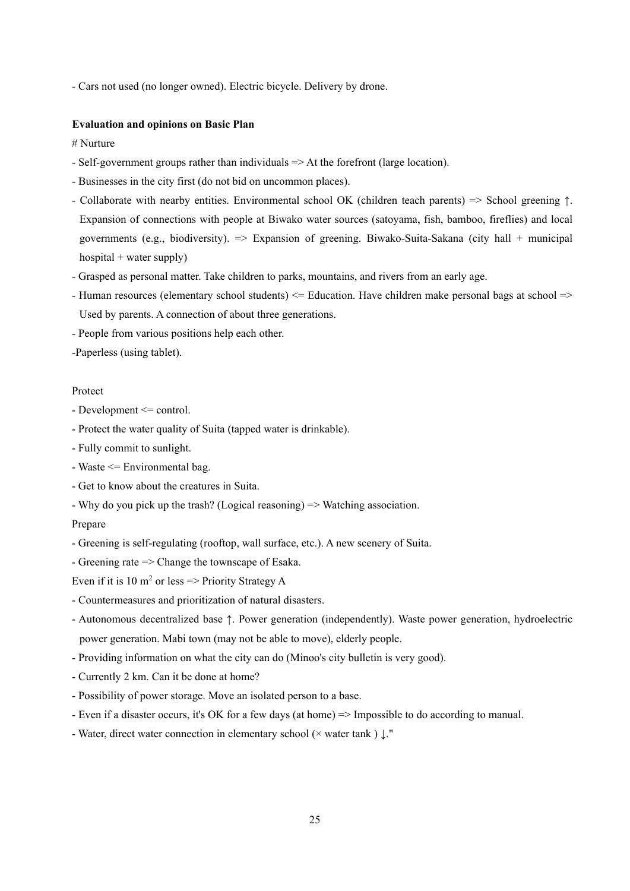- Cars not used (no longer owned). Electric bicycle. Delivery by drone.

#### **Evaluation and opinions on Basic Plan**

# Nurture

- Self-government groups rather than individuals => At the forefront (large location).
- Businesses in the city first (do not bid on uncommon places).
- Collaborate with nearby entities. Environmental school OK (children teach parents) => School greening ↑. Expansion of connections with people at Biwako water sources (satoyama, fish, bamboo, fireflies) and local governments (e.g., biodiversity).  $\Rightarrow$  Expansion of greening. Biwako-Suita-Sakana (city hall + municipal hospital  $+$  water supply)
- Grasped as personal matter. Take children to parks, mountains, and rivers from an early age.
- Human resources (elementary school students) <= Education. Have children make personal bags at school => Used by parents. A connection of about three generations.
- People from various positions help each other.
- -Paperless (using tablet).

### Protect

- Development <= control.
- Protect the water quality of Suita (tapped water is drinkable).
- Fully commit to sunlight.
- Waste <= Environmental bag.
- Get to know about the creatures in Suita.
- Why do you pick up the trash? (Logical reasoning) => Watching association.

#### Prepare

- Greening is self-regulating (rooftop, wall surface, etc.). A new scenery of Suita.
- Greening rate => Change the townscape of Esaka.

Even if it is 10  $m^2$  or less => Priority Strategy A

- Countermeasures and prioritization of natural disasters.
- Autonomous decentralized base ↑. Power generation (independently). Waste power generation, hydroelectric power generation. Mabi town (may not be able to move), elderly people.
- Providing information on what the city can do (Minoo's city bulletin is very good).
- Currently 2 km. Can it be done at home?
- Possibility of power storage. Move an isolated person to a base.
- Even if a disaster occurs, it's OK for a few days (at home) => Impossible to do according to manual.
- Water, direct water connection in elementary school (× water tank ) ↓."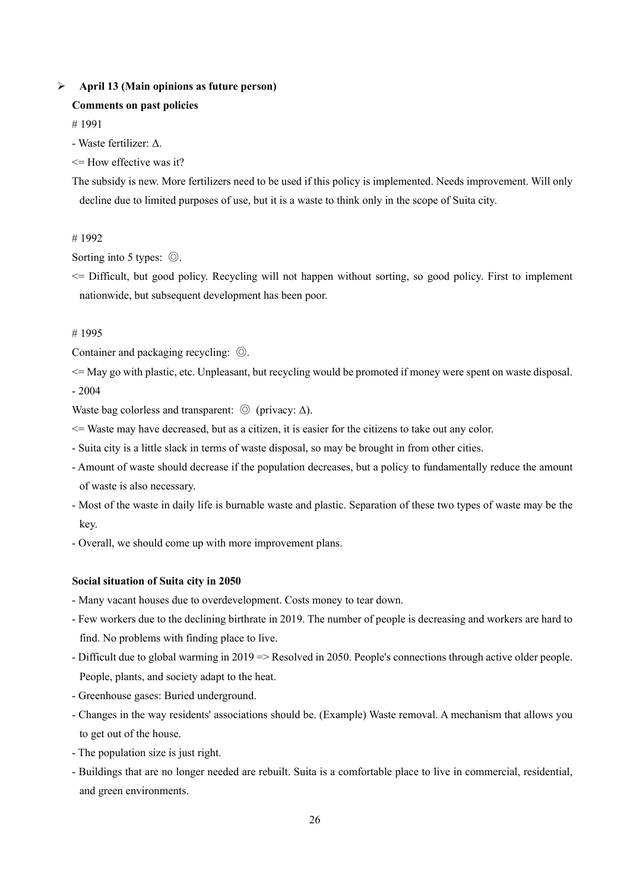### **April 13 (Main opinions as future person)**

### **Comments on past policies**

# 1991

- Waste fertilizer: Δ.
- $\leq$ = How effective was it?

The subsidy is new. More fertilizers need to be used if this policy is implemented. Needs improvement. Will only decline due to limited purposes of use, but it is a waste to think only in the scope of Suita city.

# 1992

Sorting into 5 types: ◎.

 $\leq$  Difficult, but good policy. Recycling will not happen without sorting, so good policy. First to implement nationwide, but subsequent development has been poor.

### # 1995

Container and packaging recycling: ◎.

<= May go with plastic, etc. Unpleasant, but recycling would be promoted if money were spent on waste disposal. - 2004

Waste bag colorless and transparent:  $\odot$  (privacy:  $\Delta$ ).

<= Waste may have decreased, but as a citizen, it is easier for the citizens to take out any color.

- Suita city is a little slack in terms of waste disposal, so may be brought in from other cities.
- Amount of waste should decrease if the population decreases, but a policy to fundamentally reduce the amount of waste is also necessary.
- Most of the waste in daily life is burnable waste and plastic. Separation of these two types of waste may be the key.
- Overall, we should come up with more improvement plans.

#### **Social situation of Suita city in 2050**

- Many vacant houses due to overdevelopment. Costs money to tear down.
- Few workers due to the declining birthrate in 2019. The number of people is decreasing and workers are hard to find. No problems with finding place to live.
- Difficult due to global warming in 2019 => Resolved in 2050. People's connections through active older people. People, plants, and society adapt to the heat.
- Greenhouse gases: Buried underground.
- Changes in the way residents' associations should be. (Example) Waste removal. A mechanism that allows you to get out of the house.
- The population size is just right.
- Buildings that are no longer needed are rebuilt. Suita is a comfortable place to live in commercial, residential, and green environments.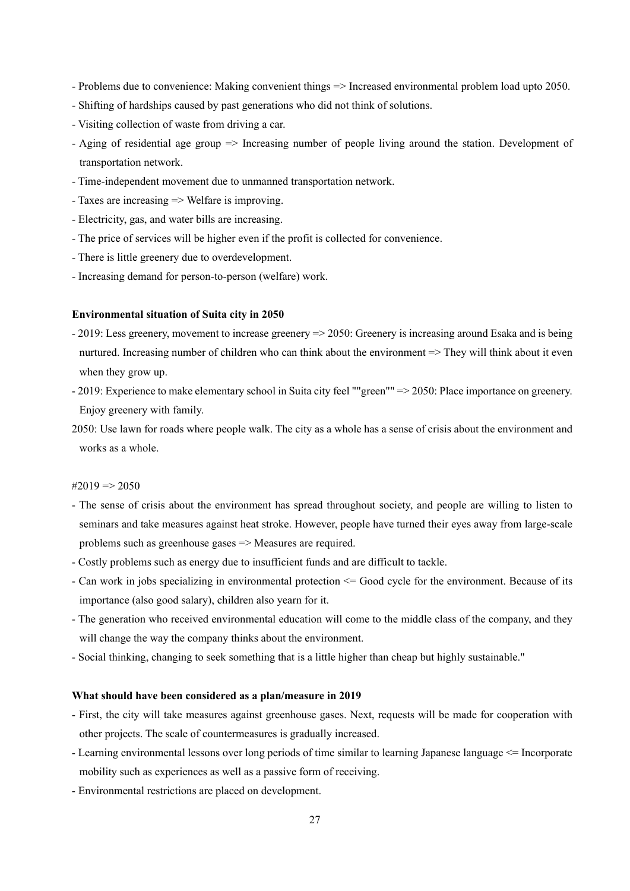- Problems due to convenience: Making convenient things => Increased environmental problem load upto 2050.
- Shifting of hardships caused by past generations who did not think of solutions.
- Visiting collection of waste from driving a car.
- Aging of residential age group => Increasing number of people living around the station. Development of transportation network.
- Time-independent movement due to unmanned transportation network.
- Taxes are increasing => Welfare is improving.
- Electricity, gas, and water bills are increasing.
- The price of services will be higher even if the profit is collected for convenience.
- There is little greenery due to overdevelopment.
- Increasing demand for person-to-person (welfare) work.

- 2019: Less greenery, movement to increase greenery => 2050: Greenery is increasing around Esaka and is being nurtured. Increasing number of children who can think about the environment => They will think about it even when they grow up.
- 2019: Experience to make elementary school in Suita city feel ""green"" => 2050: Place importance on greenery. Enjoy greenery with family.
- 2050: Use lawn for roads where people walk. The city as a whole has a sense of crisis about the environment and works as a whole.

#### $\#2019 \Longrightarrow 2050$

- The sense of crisis about the environment has spread throughout society, and people are willing to listen to seminars and take measures against heat stroke. However, people have turned their eyes away from large-scale problems such as greenhouse gases => Measures are required.
- Costly problems such as energy due to insufficient funds and are difficult to tackle.
- Can work in jobs specializing in environmental protection <= Good cycle for the environment. Because of its importance (also good salary), children also yearn for it.
- The generation who received environmental education will come to the middle class of the company, and they will change the way the company thinks about the environment.
- Social thinking, changing to seek something that is a little higher than cheap but highly sustainable."

- First, the city will take measures against greenhouse gases. Next, requests will be made for cooperation with other projects. The scale of countermeasures is gradually increased.
- Learning environmental lessons over long periods of time similar to learning Japanese language <= Incorporate mobility such as experiences as well as a passive form of receiving.
- Environmental restrictions are placed on development.